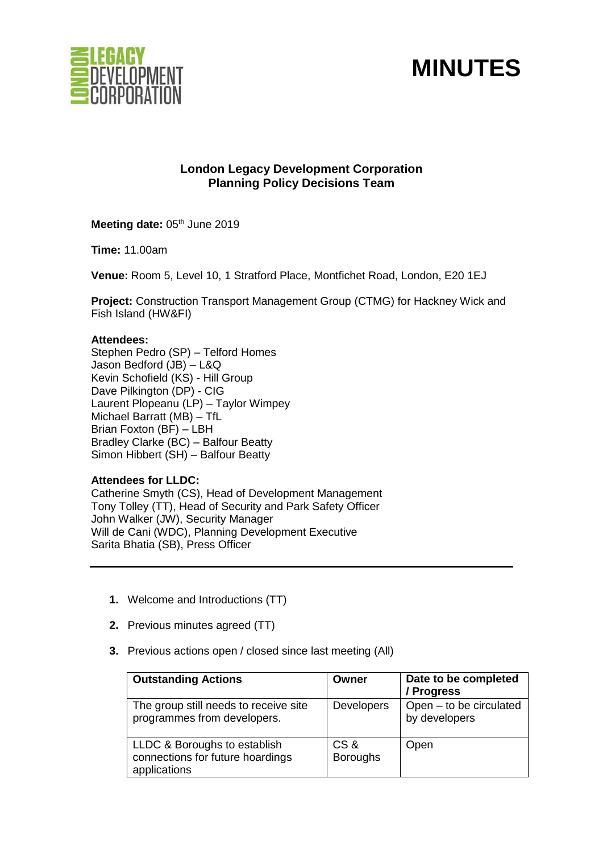

# **MINUTES**

# **London Legacy Development Corporation Planning Policy Decisions Team**

**Meeting date: 05th June 2019** 

**Time:** 11.00am

**Venue:** Room 5, Level 10, 1 Stratford Place, Montfichet Road, London, E20 1EJ

**Project:** Construction Transport Management Group (CTMG) for Hackney Wick and Fish Island (HW&FI)

#### **Attendees:**

Stephen Pedro (SP) – Telford Homes Jason Bedford (JB) – L&Q Kevin Schofield (KS) - Hill Group Dave Pilkington (DP) - CIG Laurent Plopeanu (LP) – Taylor Wimpey Michael Barratt (MB) – TfL Brian Foxton (BF) – LBH Bradley Clarke (BC) – Balfour Beatty Simon Hibbert (SH) – Balfour Beatty

# **Attendees for LLDC:**

Catherine Smyth (CS), Head of Development Management Tony Tolley (TT), Head of Security and Park Safety Officer John Walker (JW), Security Manager Will de Cani (WDC), Planning Development Executive Sarita Bhatia (SB), Press Officer

- **1.** Welcome and Introductions (TT)
- **2.** Previous minutes agreed (TT)
- **3.** Previous actions open / closed since last meeting (All)

| <b>Outstanding Actions</b>                                                       | Owner                  | Date to be completed<br>/ Progress       |
|----------------------------------------------------------------------------------|------------------------|------------------------------------------|
| The group still needs to receive site<br>programmes from developers.             | <b>Developers</b>      | Open - to be circulated<br>by developers |
| LLDC & Boroughs to establish<br>connections for future hoardings<br>applications | CS&<br><b>Boroughs</b> | Open                                     |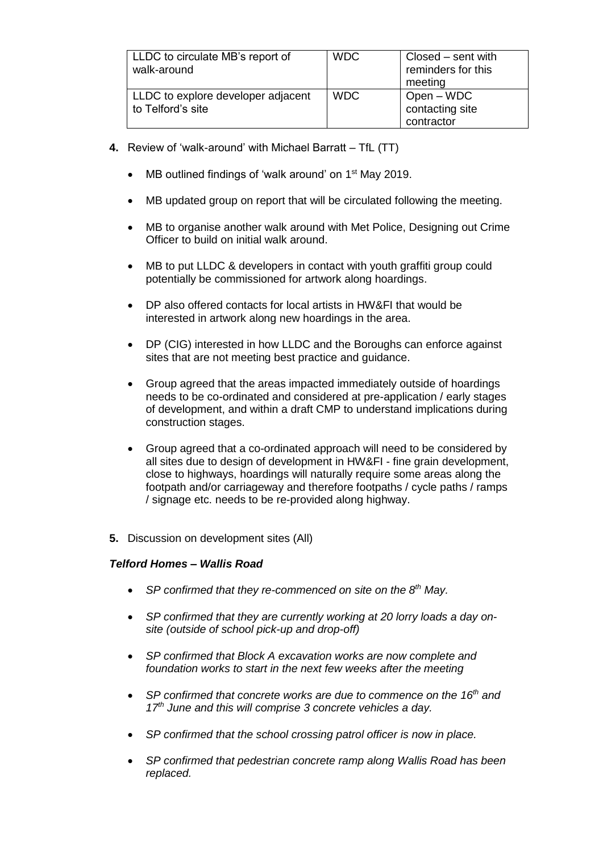| LLDC to circulate MB's report of<br>walk-around         | <b>WDC</b> | Closed – sent with<br>reminders for this<br>meeting |
|---------------------------------------------------------|------------|-----------------------------------------------------|
| LLDC to explore developer adjacent<br>to Telford's site | <b>WDC</b> | Open – WDC<br>contacting site<br>contractor         |

- **4.** Review of 'walk-around' with Michael Barratt TfL (TT)
	- MB outlined findings of 'walk around' on 1<sup>st</sup> May 2019.
	- MB updated group on report that will be circulated following the meeting.
	- MB to organise another walk around with Met Police, Designing out Crime Officer to build on initial walk around.
	- MB to put LLDC & developers in contact with youth graffiti group could potentially be commissioned for artwork along hoardings.
	- DP also offered contacts for local artists in HW&FI that would be interested in artwork along new hoardings in the area.
	- DP (CIG) interested in how LLDC and the Boroughs can enforce against sites that are not meeting best practice and guidance.
	- Group agreed that the areas impacted immediately outside of hoardings needs to be co-ordinated and considered at pre-application / early stages of development, and within a draft CMP to understand implications during construction stages.
	- Group agreed that a co-ordinated approach will need to be considered by all sites due to design of development in HW&FI - fine grain development, close to highways, hoardings will naturally require some areas along the footpath and/or carriageway and therefore footpaths / cycle paths / ramps / signage etc. needs to be re-provided along highway.
- **5.** Discussion on development sites (All)

# *Telford Homes – Wallis Road*

- *SP confirmed that they re-commenced on site on the 8th May.*
- *SP confirmed that they are currently working at 20 lorry loads a day onsite (outside of school pick-up and drop-off)*
- *SP confirmed that Block A excavation works are now complete and*  foundation works to start in the next few weeks after the meeting
- *SP confirmed that concrete works are due to commence on the 16th and 17th June and this will comprise 3 concrete vehicles a day.*
- *SP confirmed that the school crossing patrol officer is now in place.*
- *SP confirmed that pedestrian concrete ramp along Wallis Road has been replaced.*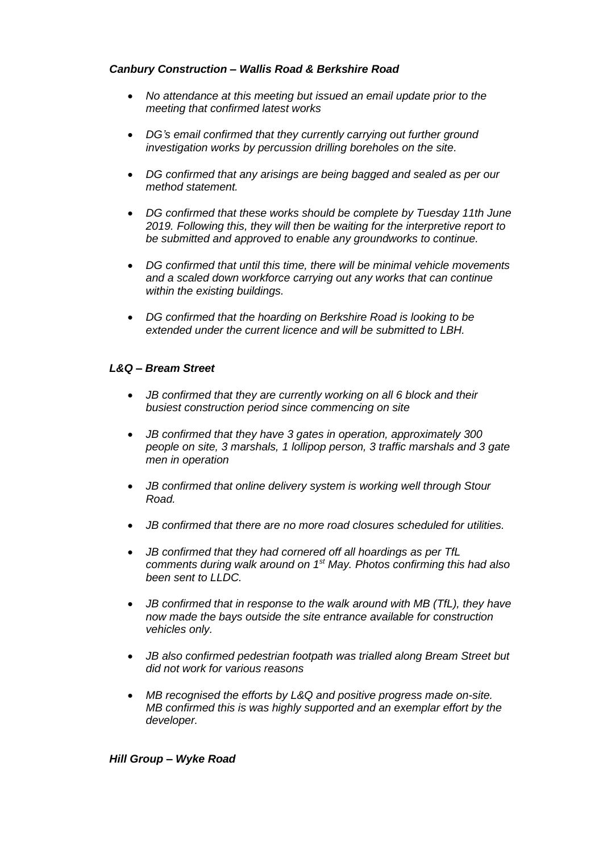# *Canbury Construction – Wallis Road & Berkshire Road*

- *No attendance at this meeting but issued an email update prior to the meeting that confirmed latest works*
- *DG's email confirmed that they currently carrying out further ground investigation works by percussion drilling boreholes on the site.*
- *DG confirmed that any arisings are being bagged and sealed as per our method statement.*
- *DG confirmed that these works should be complete by Tuesday 11th June 2019. Following this, they will then be waiting for the interpretive report to be submitted and approved to enable any groundworks to continue.*
- *DG confirmed that until this time, there will be minimal vehicle movements and a scaled down workforce carrying out any works that can continue within the existing buildings.*
- *DG confirmed that the hoarding on Berkshire Road is looking to be extended under the current licence and will be submitted to LBH.*

# *L&Q – Bream Street*

- *JB confirmed that they are currently working on all 6 block and their busiest construction period since commencing on site*
- *JB confirmed that they have 3 gates in operation, approximately 300 people on site, 3 marshals, 1 lollipop person, 3 traffic marshals and 3 gate men in operation*
- *JB confirmed that online delivery system is working well through Stour Road.*
- *JB confirmed that there are no more road closures scheduled for utilities.*
- *JB confirmed that they had cornered off all hoardings as per TfL comments during walk around on 1st May. Photos confirming this had also been sent to LLDC.*
- *JB confirmed that in response to the walk around with MB (TfL), they have now made the bays outside the site entrance available for construction vehicles only.*
- *JB also confirmed pedestrian footpath was trialled along Bream Street but did not work for various reasons*
- *MB recognised the efforts by L&Q and positive progress made on-site. MB confirmed this is was highly supported and an exemplar effort by the developer.*

# *Hill Group – Wyke Road*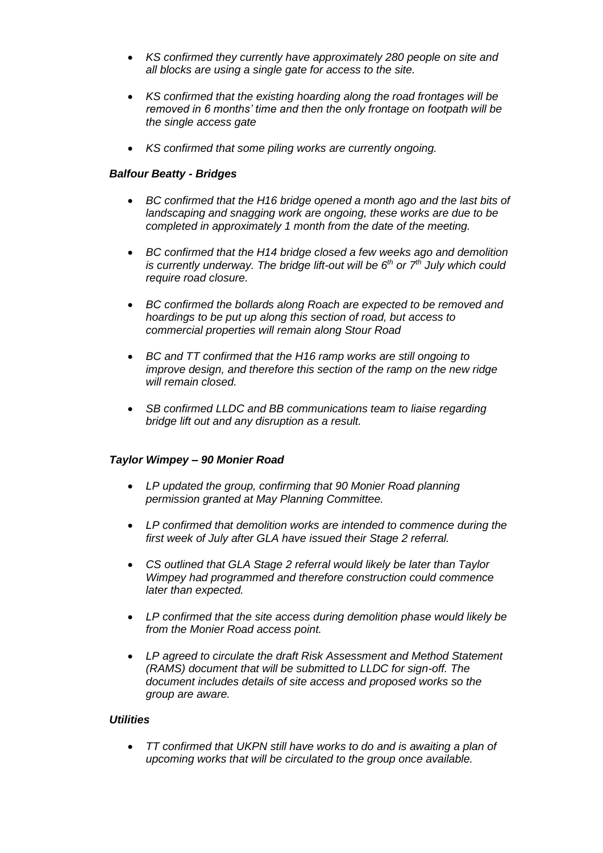- *KS confirmed they currently have approximately 280 people on site and all blocks are using a single gate for access to the site.*
- *KS confirmed that the existing hoarding along the road frontages will be removed in 6 months' time and then the only frontage on footpath will be the single access gate*
- *KS confirmed that some piling works are currently ongoing.*

### *Balfour Beatty - Bridges*

- *BC confirmed that the H16 bridge opened a month ago and the last bits of landscaping and snagging work are ongoing, these works are due to be completed in approximately 1 month from the date of the meeting.*
- *BC confirmed that the H14 bridge closed a few weeks ago and demolition is currently underway. The bridge lift-out will be 6th or 7th July which could require road closure.*
- *BC confirmed the bollards along Roach are expected to be removed and hoardings to be put up along this section of road, but access to commercial properties will remain along Stour Road*
- *BC and TT confirmed that the H16 ramp works are still ongoing to improve design, and therefore this section of the ramp on the new ridge will remain closed.*
- *SB confirmed LLDC and BB communications team to liaise regarding bridge lift out and any disruption as a result.*

#### *Taylor Wimpey – 90 Monier Road*

- *LP updated the group, confirming that 90 Monier Road planning permission granted at May Planning Committee.*
- *LP confirmed that demolition works are intended to commence during the first week of July after GLA have issued their Stage 2 referral.*
- *CS outlined that GLA Stage 2 referral would likely be later than Taylor Wimpey had programmed and therefore construction could commence later than expected.*
- *LP confirmed that the site access during demolition phase would likely be from the Monier Road access point.*
- *LP agreed to circulate the draft Risk Assessment and Method Statement (RAMS) document that will be submitted to LLDC for sign-off. The document includes details of site access and proposed works so the group are aware.*

#### *Utilities*

• *TT confirmed that UKPN still have works to do and is awaiting a plan of upcoming works that will be circulated to the group once available.*